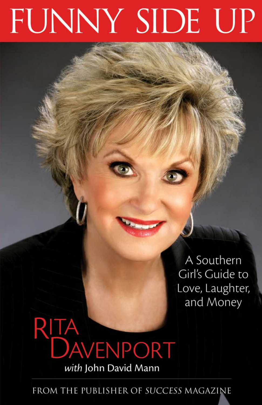# FUNNY SIDE UP

A Southern Girl's Guide to Love, Laughter, and Money

# **RITA**<br>DAVENPORT with John David Mann

FROM THE PUBLISHER OF SUCCESS MAGAZINE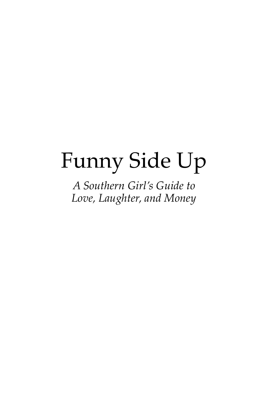## Funny Side Up

*A Southern Girl's Guide to Love, Laughter, and Money*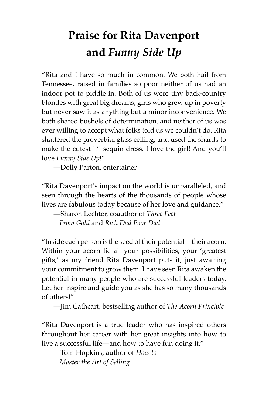## **Praise for Rita Davenport and** *Funny Side Up*

"Rita and I have so much in common. We both hail from Tennessee, raised in families so poor neither of us had an indoor pot to piddle in. Both of us were tiny back-country blondes with great big dreams, girls who grew up in poverty but never saw it as anything but a minor inconvenience. We both shared bushels of determination, and neither of us was ever willing to accept what folks told us we couldn't do. Rita shattered the proverbial glass ceiling, and used the shards to make the cutest li'l sequin dress. I love the girl! And you'll love *Funny Side Up*!"

—Dolly Parton, entertainer

"Rita Davenport's impact on the world is unparalleled, and seen through the hearts of the thousands of people whose lives are fabulous today because of her love and guidance."

—Sharon Lechter, coauthor of *Three Feet From Gold* and *Rich Dad Poor Dad*

"Inside each person is the seed of their potential—their acorn. Within your acorn lie all your possibilities, your 'greatest gifts,' as my friend Rita Davenport puts it, just awaiting your commitment to grow them. I have seen Rita awaken the potential in many people who are successful leaders today. Let her inspire and guide you as she has so many thousands of others!"

—Jim Cathcart, bestselling author of *The Acorn Principle*

"Rita Davenport is a true leader who has inspired others throughout her career with her great insights into how to live a successful life—and how to have fun doing it."

—Tom Hopkins, author of *How to Master the Art of Selling*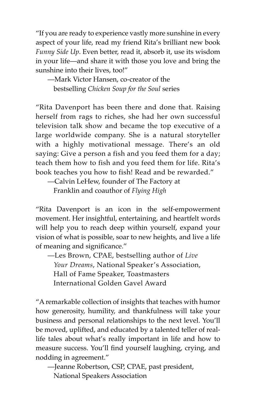"If you are ready to experience vastly more sunshine in every aspect of your life, read my friend Rita's brilliant new book *Funny Side Up*. Even better, read it, absorb it, use its wisdom in your life—and share it with those you love and bring the sunshine into their lives, too!"

—Mark Victor Hansen, co-creator of the bestselling *Chicken Soup for the Soul* series

"Rita Davenport has been there and done that. Raising herself from rags to riches, she had her own successful television talk show and became the top executive of a large worldwide company. She is a natural storyteller with a highly motivational message. There's an old saying: Give a person a fish and you feed them for a day; teach them how to fish and you feed them for life. Rita's book teaches you how to fish! Read and be rewarded."

—Calvin LeHew, founder of The Factory at Franklin and coauthor of *Flying High*

"Rita Davenport is an icon in the self-empowerment movement. Her insightful, entertaining, and heartfelt words will help you to reach deep within yourself, expand your vision of what is possible, soar to new heights, and live a life of meaning and significance."

—Les Brown, CPAE, bestselling author of *Live Your Dreams*, National Speaker's Association, Hall of Fame Speaker, Toastmasters International Golden Gavel Award

"A remarkable collection of insights that teaches with humor how generosity, humility, and thankfulness will take your business and personal relationships to the next level. You'll be moved, uplifted, and educated by a talented teller of reallife tales about what's really important in life and how to measure success. You'll find yourself laughing, crying, and nodding in agreement."

—Jeanne Robertson, CSP, CPAE, past president, National Speakers Association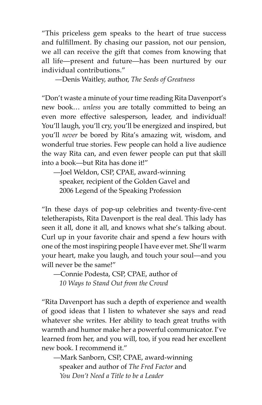"This priceless gem speaks to the heart of true success and fulfillment. By chasing our passion, not our pension, we all can receive the gift that comes from knowing that all life—present and future—has been nurtured by our individual contributions."

—Denis Waitley, author, *The Seeds of Greatness* 

"Don't waste a minute of your time reading Rita Davenport's new book… *unless* you are totally committed to being an even more effective salesperson, leader, and individual! You'll laugh, you'll cry, you'll be energized and inspired, but you'll *never* be bored by Rita's amazing wit, wisdom, and wonderful true stories. Few people can hold a live audience the way Rita can, and even fewer people can put that skill into a book—but Rita has done it!"

—Joel Weldon, CSP, CPAE, award-winning speaker, recipient of the Golden Gavel and 2006 Legend of the Speaking Profession

"In these days of pop-up celebrities and twenty-five-cent teletherapists, Rita Davenport is the real deal. This lady has seen it all, done it all, and knows what she's talking about. Curl up in your favorite chair and spend a few hours with one of the most inspiring people I have ever met. She'll warm your heart, make you laugh, and touch your soul—and you will never be the same!"

—Connie Podesta, CSP, CPAE, author of *10 Ways to Stand Out from the Crowd*

"Rita Davenport has such a depth of experience and wealth of good ideas that I listen to whatever she says and read whatever she writes. Her ability to teach great truths with warmth and humor make her a powerful communicator. I've learned from her, and you will, too, if you read her excellent new book. I recommend it."

—Mark Sanborn, CSP, CPAE, award-winning speaker and author of *The Fred Factor* and *You Don't Need a Title to be a Leader*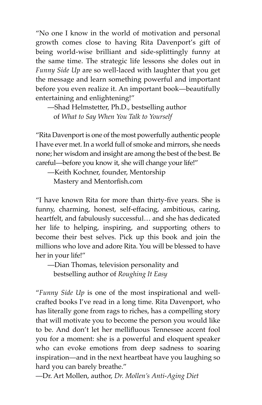"No one I know in the world of motivation and personal growth comes close to having Rita Davenport's gift of being world-wise brilliant and side-splittingly funny at the same time. The strategic life lessons she doles out in *Funny Side Up* are so well-laced with laughter that you get the message and learn something powerful and important before you even realize it. An important book—beautifully entertaining and enlightening!"

—Shad Helmstetter, Ph.D., bestselling author of *What to Say When You Talk to Yourself*

"Rita Davenport is one of the most powerfully authentic people I have ever met. In a world full of smoke and mirrors, she needs none; her wisdom and insight are among the best of the best. Be careful—before you know it, she will change your life!"

—Keith Kochner, founder, Mentorship Mastery and Mentorfish.com

"I have known Rita for more than thirty-five years. She is funny, charming, honest, self-effacing, ambitious, caring, heartfelt, and fabulously successful… and she has dedicated her life to helping, inspiring, and supporting others to become their best selves. Pick up this book and join the millions who love and adore Rita. You will be blessed to have her in your life!"

—Dian Thomas, television personality and bestselling author of *Roughing It Easy*

"*Funny Side Up* is one of the most inspirational and wellcrafted books I've read in a long time. Rita Davenport, who has literally gone from rags to riches, has a compelling story that will motivate you to become the person you would like to be. And don't let her mellifluous Tennessee accent fool you for a moment: she is a powerful and eloquent speaker who can evoke emotions from deep sadness to soaring inspiration—and in the next heartbeat have you laughing so hard you can barely breathe."

—Dr. Art Mollen, author, *Dr. Mollen's Anti-Aging Diet*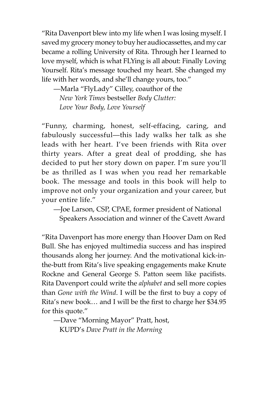"Rita Davenport blew into my life when I was losing myself. I saved my grocery money to buy her audiocassettes, and my car became a rolling University of Rita. Through her I learned to love myself, which is what FLYing is all about: Finally Loving Yourself. Rita's message touched my heart. She changed my life with her words, and she'll change yours, too."

—Marla "FlyLady" Cilley, coauthor of the *New York Times* bestseller *Body Clutter: Love Your Body, Love Yourself*

"Funny, charming, honest, self-effacing, caring, and fabulously successful—this lady walks her talk as she leads with her heart. I've been friends with Rita over thirty years. After a great deal of prodding, she has decided to put her story down on paper. I'm sure you'll be as thrilled as I was when you read her remarkable book. The message and tools in this book will help to improve not only your organization and your career, but your entire life."

—Joe Larson, CSP, CPAE, former president of National Speakers Association and winner of the Cavett Award

"Rita Davenport has more energy than Hoover Dam on Red Bull. She has enjoyed multimedia success and has inspired thousands along her journey. And the motivational kick-inthe-butt from Rita's live speaking engagements make Knute Rockne and General George S. Patton seem like pacifists. Rita Davenport could write the *alphabet* and sell more copies than *Gone with the Wind*. I will be the first to buy a copy of Rita's new book... and I will be the first to charge her \$34.95 for this quote."

—Dave "Morning Mayor" Pratt, host, KUPD's *Dave Pratt in the Morning*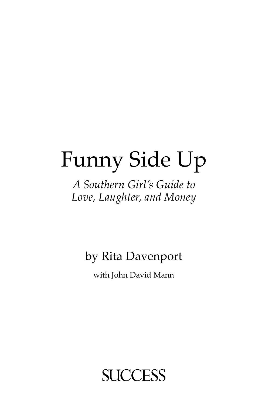## Funny Side Up

## *A Southern Girl's Guide to Love, Laughter, and Money*

## by Rita Davenport

with John David Mann

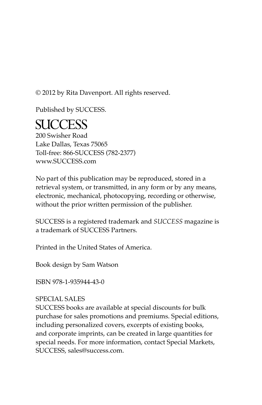© 2012 by Rita Davenport. All rights reserved.

Published by SUCCESS.

## **SUCCESS**

200 Swisher Road Lake Dallas, Texas 75065 Toll-free: 866-SUCCESS (782-2377) www.SUCCESS.com

No part of this publication may be reproduced, stored in a retrieval system, or transmitted, in any form or by any means, electronic, mechanical, photocopying, recording or otherwise, without the prior written permission of the publisher.

SUCCESS is a registered trademark and *SUCCESS* magazine is a trademark of SUCCESS Partners.

Printed in the United States of America.

Book design by Sam Watson

ISBN 978-1-935944-43-0

#### SPECIAL SALES

SUCCESS books are available at special discounts for bulk purchase for sales promotions and premiums. Special editions, including personalized covers, excerpts of existing books, and corporate imprints, can be created in large quantities for special needs. For more information, contact Special Markets, SUCCESS, sales@success.com.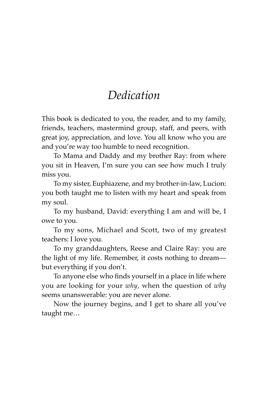## *Dedication*

This book is dedicated to you, the reader, and to my family, friends, teachers, mastermind group, staff, and peers, with great joy, appreciation, and love. You all know who you are and you're way too humble to need recognition.

To Mama and Daddy and my brother Ray: from where you sit in Heaven, I'm sure you can see how much I truly miss you.

To my sister, Euphiazene, and my brother-in-law, Lucion: you both taught me to listen with my heart and speak from my soul.

To my husband, David: everything I am and will be, I owe to you.

To my sons, Michael and Scott, two of my greatest teachers: I love you.

To my granddaughters, Reese and Claire Ray: you are the light of my life. Remember, it costs nothing to dream but everything if you don't.

To anyone else who finds yourself in a place in life where you are looking for your *why*, when the question of *why* seems unanswerable: you are never alone.

Now the journey begins, and I get to share all you've taught me…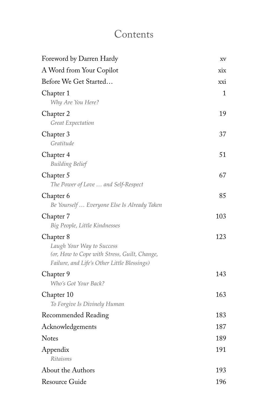## Contents

| Foreword by Darren Hardy                                                                                                              | XV  |
|---------------------------------------------------------------------------------------------------------------------------------------|-----|
| A Word from Your Copilot                                                                                                              | xix |
| Before We Get Started                                                                                                                 | xxi |
| Chapter 1<br>Why Are You Here?                                                                                                        | 1   |
| Chapter 2<br>Great Expectation                                                                                                        | 19  |
| Chapter 3<br>Gratitude                                                                                                                | 37  |
| Chapter 4<br><b>Building Belief</b>                                                                                                   | 51  |
| Chapter 5<br>The Power of Love  and Self-Respect                                                                                      | 67  |
| Chapter 6<br>Be Yourself  Everyone Else Is Already Taken                                                                              | 85  |
| Chapter 7<br>Big People, Little Kindnesses                                                                                            | 103 |
| Chapter 8<br>Laugh Your Way to Success<br>(or, How to Cope with Stress, Guilt, Change,<br>Failure, and Life's Other Little Blessings) | 123 |
| Chapter 9<br>Who's Got Your Back?                                                                                                     | 143 |
| Chapter 10<br>To Forgive Is Divinely Human                                                                                            | 163 |
| Recommended Reading                                                                                                                   | 183 |
| Acknowledgements                                                                                                                      | 187 |
| Notes                                                                                                                                 | 189 |
| Appendix<br><b>Ritaisms</b>                                                                                                           | 191 |
| About the Authors                                                                                                                     | 193 |
| Resource Guide                                                                                                                        | 196 |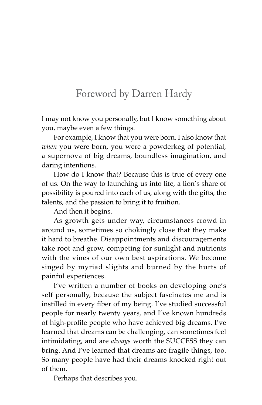## Foreword by Darren Hardy

I may not know you personally, but I know something about you, maybe even a few things.

For example, I know that you were born. I also know that *when* you were born, you were a powderkeg of potential, a supernova of big dreams, boundless imagination, and daring intentions.

How do I know that? Because this is true of every one of us. On the way to launching us into life, a lion's share of possibility is poured into each of us, along with the gifts, the talents, and the passion to bring it to fruition.

And then it begins.

As growth gets under way, circumstances crowd in around us, sometimes so chokingly close that they make it hard to breathe. Disappointments and discouragements take root and grow, competing for sunlight and nutrients with the vines of our own best aspirations. We become singed by myriad slights and burned by the hurts of painful experiences.

I've written a number of books on developing one's self personally, because the subject fascinates me and is instilled in every fiber of my being. I've studied successful people for nearly twenty years, and I've known hundreds of high-profile people who have achieved big dreams. I've learned that dreams can be challenging, can sometimes feel intimidating, and are *always* worth the SUCCESS they can bring. And I've learned that dreams are fragile things, too. So many people have had their dreams knocked right out of them.

Perhaps that describes you.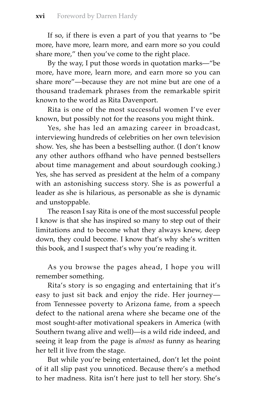If so, if there is even a part of you that yearns to "be more, have more, learn more, and earn more so you could share more," then you've come to the right place.

By the way, I put those words in quotation marks—"be more, have more, learn more, and earn more so you can share more"—because they are not mine but are one of a thousand trademark phrases from the remarkable spirit known to the world as Rita Davenport.

Rita is one of the most successful women I've ever known, but possibly not for the reasons you might think.

Yes, she has led an amazing career in broadcast, interviewing hundreds of celebrities on her own television show. Yes, she has been a bestselling author. (I don't know any other authors offhand who have penned bestsellers about time management and about sourdough cooking.) Yes, she has served as president at the helm of a company with an astonishing success story. She is as powerful a leader as she is hilarious, as personable as she is dynamic and unstoppable.

The reason I say Rita is one of the most successful people I know is that she has inspired so many to step out of their limitations and to become what they always knew, deep down, they could become. I know that's why she's written this book, and I suspect that's why you're reading it.

As you browse the pages ahead, I hope you will remember something.

Rita's story is so engaging and entertaining that it's easy to just sit back and enjoy the ride. Her journey from Tennessee poverty to Arizona fame, from a speech defect to the national arena where she became one of the most sought-after motivational speakers in America (with Southern twang alive and well)—is a wild ride indeed, and seeing it leap from the page is *almost* as funny as hearing her tell it live from the stage.

But while you're being entertained, don't let the point of it all slip past you unnoticed. Because there's a method to her madness. Rita isn't here just to tell her story. She's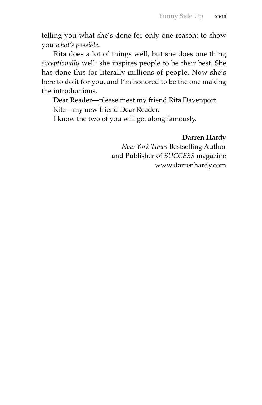telling you what she's done for only one reason: to show you *what's possible*.

Rita does a lot of things well, but she does one thing *exceptionally* well: she inspires people to be their best. She has done this for literally millions of people. Now she's here to do it for you, and I'm honored to be the one making the introductions.

Dear Reader—please meet my friend Rita Davenport. Rita—my new friend Dear Reader.

I know the two of you will get along famously.

#### **Darren Hardy**

*New York Times* Bestselling Author and Publisher of *SUCCESS* magazine www.darrenhardy.com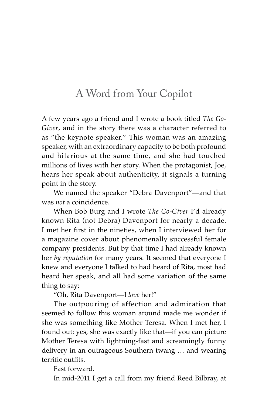### A Word from Your Copilot

A few years ago a friend and I wrote a book titled *The Go-Giver*, and in the story there was a character referred to as "the keynote speaker." This woman was an amazing speaker, with an extraordinary capacity to be both profound and hilarious at the same time, and she had touched millions of lives with her story. When the protagonist, Joe, hears her speak about authenticity, it signals a turning point in the story.

We named the speaker "Debra Davenport"—and that was *not* a coincidence.

When Bob Burg and I wrote *The Go-Giver* I'd already known Rita (not Debra) Davenport for nearly a decade. I met her first in the nineties, when I interviewed her for a magazine cover about phenomenally successful female company presidents. But by that time I had already known her *by reputation* for many years. It seemed that everyone I knew and everyone I talked to had heard of Rita, most had heard her speak, and all had some variation of the same thing to say:

"Oh, Rita Davenport—I *love* her!"

The outpouring of affection and admiration that seemed to follow this woman around made me wonder if she was something like Mother Teresa. When I met her, I found out: yes, she was exactly like that—if you can picture Mother Teresa with lightning-fast and screamingly funny delivery in an outrageous Southern twang … and wearing terrific outfits.

Fast forward.

In mid-2011 I get a call from my friend Reed Bilbray, at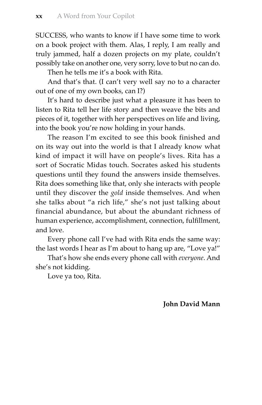SUCCESS, who wants to know if I have some time to work on a book project with them. Alas, I reply, I am really and truly jammed, half a dozen projects on my plate, couldn't possibly take on another one, very sorry, love to but no can do.

Then he tells me it's a book with Rita.

And that's that. (I can't very well say no to a character out of one of my own books, can I?)

It's hard to describe just what a pleasure it has been to listen to Rita tell her life story and then weave the bits and pieces of it, together with her perspectives on life and living, into the book you're now holding in your hands.

The reason I'm excited to see this book finished and on its way out into the world is that I already know what kind of impact it will have on people's lives. Rita has a sort of Socratic Midas touch. Socrates asked his students questions until they found the answers inside themselves. Rita does something like that, only she interacts with people until they discover the *gold* inside themselves. And when she talks about "a rich life," she's not just talking about financial abundance, but about the abundant richness of human experience, accomplishment, connection, fulfillment, and love.

Every phone call I've had with Rita ends the same way: the last words I hear as I'm about to hang up are, "Love ya!"

That's how she ends every phone call with *everyone*. And she's not kidding.

Love ya too, Rita.

**John David Mann**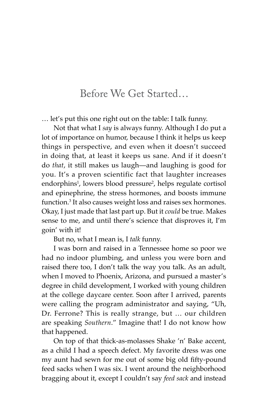#### Before We Get Started…

… let's put this one right out on the table: I talk funny.

Not that what I *say* is always funny. Although I do put a lot of importance on humor, because I think it helps us keep things in perspective, and even when it doesn't succeed in doing that, at least it keeps us sane. And if it doesn't do *that*, it still makes us laugh—and laughing is good for you. It's a proven scientific fact that laughter increases endorphins<sup>1</sup>, lowers blood pressure<sup>2</sup>, helps regulate cortisol and epinephrine, the stress hormones, and boosts immune function. It also causes weight loss and raises sex hormones. Okay, I just made that last part up. But it *could* be true. Makes sense to me, and until there's science that disproves it, I'm goin' with it!

But no, what I mean is, I *talk* funny.

I was born and raised in a Tennessee home so poor we had no indoor plumbing, and unless you were born and raised there too, I don't talk the way you talk. As an adult, when I moved to Phoenix, Arizona, and pursued a master's degree in child development, I worked with young children at the college daycare center. Soon after I arrived, parents were calling the program administrator and saying, "Uh, Dr. Ferrone? This is really strange, but … our children are speaking *Southern*." Imagine that! I do not know how that happened.

On top of that thick-as-molasses Shake 'n' Bake accent, as a child I had a speech defect. My favorite dress was one my aunt had sewn for me out of some big old fifty-pound feed sacks when I was six. I went around the neighborhood bragging about it, except I couldn't say *feed sack* and instead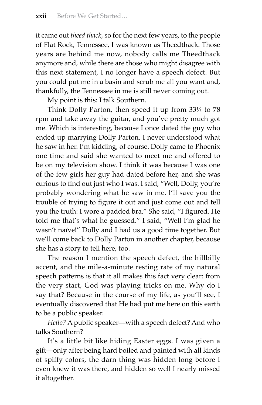it came out *theed thack*, so for the next few years, to the people of Flat Rock, Tennessee, I was known as Theedthack. Those years are behind me now, nobody calls me Theedthack anymore and, while there are those who might disagree with this next statement, I no longer have a speech defect. But you could put me in a basin and scrub me all you want and, thankfully, the Tennessee in me is still never coming out.

My point is this: I talk Southern.

Think Dolly Parton, then speed it up from  $33\frac{1}{3}$  to 78 rpm and take away the guitar, and you've pretty much got me. Which is interesting, because I once dated the guy who ended up marrying Dolly Parton. I never understood what he saw in her. I'm kidding, of course. Dolly came to Phoenix one time and said she wanted to meet me and offered to be on my television show. I think it was because I was one of the few girls her guy had dated before her, and she was curious to find out just who I was. I said, "Well, Dolly, you're probably wondering what he saw in me. I'll save you the trouble of trying to figure it out and just come out and tell you the truth: I wore a padded bra." She said, "I figured. He told me that's what he guessed." I said, "Well I'm glad he wasn't naïve!" Dolly and I had us a good time together. But we'll come back to Dolly Parton in another chapter, because she has a story to tell here, too.

The reason I mention the speech defect, the hillbilly accent, and the mile-a-minute resting rate of my natural speech patterns is that it all makes this fact very clear: from the very start, God was playing tricks on me. Why do I say that? Because in the course of my life, as you'll see, I eventually discovered that He had put me here on this earth to be a public speaker.

*Hello?* A public speaker—with a speech defect? And who talks Southern?

It's a little bit like hiding Easter eggs. I was given a gift—only after being hard boiled and painted with all kinds of spiffy colors, the darn thing was hidden long before I even knew it was there, and hidden so well I nearly missed it altogether.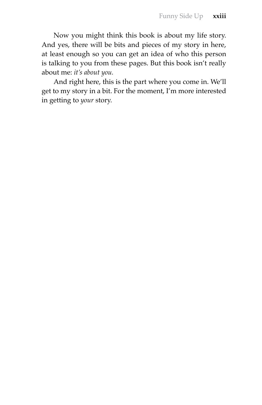Now you might think this book is about my life story. And yes, there will be bits and pieces of my story in here, at least enough so you can get an idea of who this person is talking to you from these pages. But this book isn't really about me: *it's about you.*

And right here, this is the part where you come in. We'll get to my story in a bit. For the moment, I'm more interested in getting to *your* story.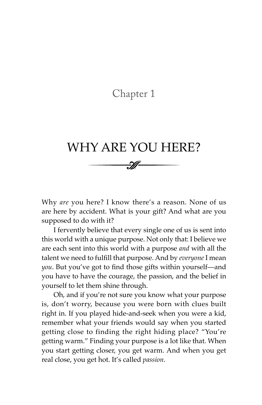#### Chapter 1

## WHY ARE YOU HERE?

Why *are* you here? I know there's a reason. None of us are here by accident. What is your gift? And what are you supposed to do with it?

I fervently believe that every single one of us is sent into this world with a unique purpose. Not only that: I believe we are each sent into this world with a purpose *and* with all the talent we need to fulfill that purpose. And by everyone I mean *you*. But you've got to find those gifts within yourself—and you have to have the courage, the passion, and the belief in yourself to let them shine through.

Oh, and if you're not sure you know what your purpose is, don't worry, because you were born with clues built right in. If you played hide-and-seek when you were a kid, remember what your friends would say when you started getting close to finding the right hiding place? "You're getting warm." Finding your purpose is a lot like that. When you start getting closer, you get warm. And when you get real close, you get hot. It's called *passion*.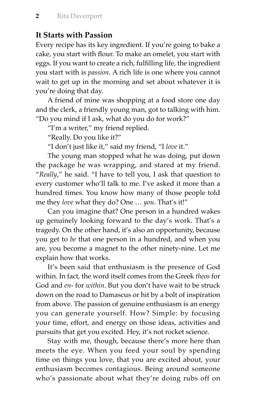#### **It Starts with Passion**

Every recipe has its key ingredient. If you're going to bake a cake, you start with flour. To make an omelet, you start with eggs. If you want to create a rich, fulfilling life, the ingredient you start with is *passion*. A rich life is one where you cannot wait to get up in the morning and set about whatever it is you're doing that day.

A friend of mine was shopping at a food store one day and the clerk, a friendly young man, got to talking with him. "Do you mind if I ask, what do you do for work?"

"I'm a writer," my friend replied.

"Really. Do you like it?"

"I don't just like it," said my friend, "I *love* it."

The young man stopped what he was doing, put down the package he was wrapping, and stared at my friend. "*Really*," he said. "I have to tell you, I ask that question to every customer who'll talk to me. I've asked it more than a hundred times. You know how many of those people told me they *love* what they do? One … *you*. That's it!"

Can you imagine that? One person in a hundred wakes up genuinely looking forward to the day's work. That's a tragedy. On the other hand, it's also an opportunity, because you get to *be* that one person in a hundred, and when you are, you become a magnet to the other ninety-nine. Let me explain how that works.

It's been said that enthusiasm is the presence of God within. In fact, the word itself comes from the Greek *theos* for God and *en-* for *within*. But you don't have wait to be struck down on the road to Damascus or hit by a bolt of inspiration from above. The passion of genuine enthusiasm is an energy you can generate yourself. How? Simple: by focusing your time, effort, and energy on those ideas, activities and pursuits that get you excited. Hey, it's not rocket science.

Stay with me, though, because there's more here than meets the eye. When you feed your soul by spending time on things you love, that you are excited about, your enthusiasm becomes contagious. Being around someone who's passionate about what they're doing rubs off on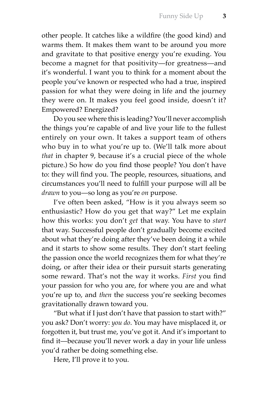other people. It catches like a wildfire (the good kind) and warms them. It makes them want to be around you more and gravitate to that positive energy you're exuding. You become a magnet for that positivity—for greatness—and it's wonderful. I want you to think for a moment about the people you've known or respected who had a true, inspired passion for what they were doing in life and the journey they were on. It makes you feel good inside, doesn't it? Empowered? Energized?

Do you see where this is leading? You'll never accomplish the things you're capable of and live your life to the fullest entirely on your own. It takes a support team of others who buy in to what you're up to. (We'll talk more about *that* in chapter 9, because it's a crucial piece of the whole picture.) So how do you find those people? You don't have to: they will find you. The people, resources, situations, and circumstances you'll need to fulfill your purpose will all be *drawn* to you—so long as you're *on* purpose.

I've often been asked, "How is it you always seem so enthusiastic? How do you get that way?" Let me explain how this works: you don't *get* that way. You have to *start*  that way. Successful people don't gradually become excited about what they're doing after they've been doing it a while and it starts to show some results. They don't start feeling the passion once the world recognizes them for what they're doing, or after their idea or their pursuit starts generating some reward. That's not the way it works. *First* you find your passion for who you are, for where you are and what you're up to, and *then* the success you're seeking becomes gravitationally drawn toward you.

"But what if I just don't have that passion to start with?" you ask? Don't worry: *you do*. You may have misplaced it, or forgotten it, but trust me, you've got it. And it's important to find it—because you'll never work a day in your life unless you'd rather be doing something else.

Here, I'll prove it to you.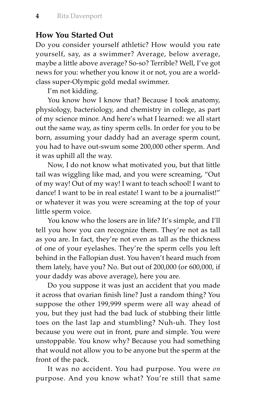#### **How You Started Out**

Do you consider yourself athletic? How would you rate yourself, say, as a swimmer? Average, below average, maybe a little above average? So-so? Terrible? Well, I've got news for you: whether you know it or not, you are a worldclass super-Olympic gold medal swimmer.

I'm not kidding.

You know how I know that? Because I took anatomy, physiology, bacteriology, and chemistry in college, as part of my science minor. And here's what I learned: we all start out the same way, as tiny sperm cells. In order for you to be born, assuming your daddy had an average sperm count, you had to have out-swum some 200,000 other sperm. And it was uphill all the way.

Now, I do not know what motivated you, but that little tail was wiggling like mad, and you were screaming, "Out of my way! Out of my way! I want to teach school! I want to dance! I want to be in real estate! I want to be a journalist!" or whatever it was you were screaming at the top of your little sperm voice.

You know who the losers are in life? It's simple, and I'll tell you how you can recognize them. They're not as tall as you are. In fact, they're not even as tall as the thickness of one of your eyelashes. They're the sperm cells you left behind in the Fallopian dust. You haven't heard much from them lately, have you? No. But out of 200,000 (or 600,000, if your daddy was above average), here you are.

Do you suppose it was just an accident that you made it across that ovarian finish line? Just a random thing? You suppose the other 199,999 sperm were all way ahead of you, but they just had the bad luck of stubbing their little toes on the last lap and stumbling? Nuh-uh. They lost because you were out in front, pure and simple. You were unstoppable. You know why? Because you had something that would not allow you to be anyone but the sperm at the front of the pack.

It was no accident. You had purpose. You were *on*  purpose. And you know what? You're still that same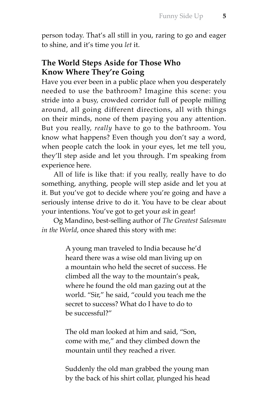person today. That's all still in you, raring to go and eager to shine, and it's time you *let* it.

#### **The World Steps Aside for Those Who Know Where They're Going**

Have you ever been in a public place when you desperately needed to use the bathroom? Imagine this scene: you stride into a busy, crowded corridor full of people milling around, all going different directions, all with things on their minds, none of them paying you any attention. But you really, *really* have to go to the bathroom. You know what happens? Even though you don't say a word, when people catch the look in your eyes, let me tell you, they'll step aside and let you through. I'm speaking from experience here.

All of life is like that: if you really, really have to do something, anything, people will step aside and let you at it. But you've got to decide where you're going and have a seriously intense drive to do it. You have to be clear about your intentions. You've got to get your *ask* in gear!

Og Mandino, best-selling author of *The Greatest Salesman in the World*, once shared this story with me:

> A young man traveled to India because he'd heard there was a wise old man living up on a mountain who held the secret of success. He climbed all the way to the mountain's peak, where he found the old man gazing out at the world. "Sir," he said, "could you teach me the secret to success? What do I have to do to be successful?"

The old man looked at him and said, "Son, come with me," and they climbed down the mountain until they reached a river.

Suddenly the old man grabbed the young man by the back of his shirt collar, plunged his head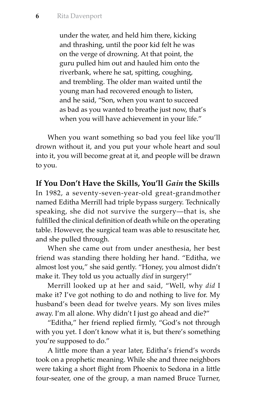under the water, and held him there, kicking and thrashing, until the poor kid felt he was on the verge of drowning. At that point, the guru pulled him out and hauled him onto the riverbank, where he sat, spitting, coughing, and trembling. The older man waited until the young man had recovered enough to listen, and he said, "Son, when you want to succeed as bad as you wanted to breathe just now, that's when you will have achievement in your life."

When you want something so bad you feel like you'll drown without it, and you put your whole heart and soul into it, you will become great at it, and people will be drawn to you.

**If You Don't Have the Skills, You'll** *Gain* **the Skills**

In 1982, a seventy-seven-year-old great-grandmother named Editha Merrill had triple bypass surgery. Technically speaking, she did not survive the surgery—that is, she fulfilled the clinical definition of death while on the operating table. However, the surgical team was able to resuscitate her, and she pulled through.

When she came out from under anesthesia, her best friend was standing there holding her hand. "Editha, we almost lost you," she said gently. "Honey, you almost didn't make it. They told us you actually *died* in surgery!"

Merrill looked up at her and said, "Well, why *did* I make it? I've got nothing to do and nothing to live for. My husband's been dead for twelve years. My son lives miles away. I'm all alone. Why didn't I just go ahead and die?"

"Editha," her friend replied firmly, "God's not through with you yet. I don't know what it is, but there's something you're supposed to do."

A little more than a year later, Editha's friend's words took on a prophetic meaning. While she and three neighbors were taking a short flight from Phoenix to Sedona in a little four-seater, one of the group, a man named Bruce Turner,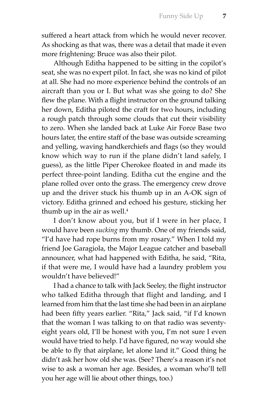suffered a heart attack from which he would never recover. As shocking as that was, there was a detail that made it even more frightening: Bruce was also their pilot.

Although Editha happened to be sitting in the copilot's seat, she was no expert pilot. In fact, she was no kind of pilot at all. She had no more experience behind the controls of an aircraft than you or I. But what was she going to do? She flew the plane. With a flight instructor on the ground talking her down, Editha piloted the craft for two hours, including a rough patch through some clouds that cut their visibility to zero. When she landed back at Luke Air Force Base two hours later, the entire staff of the base was outside screaming and yelling, waving handkerchiefs and flags (so they would know which way to run if the plane didn't land safely, I guess), as the little Piper Cherokee floated in and made its perfect three-point landing. Editha cut the engine and the plane rolled over onto the grass. The emergency crew drove up and the driver stuck his thumb up in an A-OK sign of victory. Editha grinned and echoed his gesture, sticking her thumb up in the air as well.

I don't know about you, but if I were in her place, I would have been *sucking* my thumb. One of my friends said, "I'd have had rope burns from my rosary." When I told my friend Joe Garagiola, the Major League catcher and baseball announcer, what had happened with Editha, he said, "Rita, if that were me, I would have had a laundry problem you wouldn't have believed!"

I had a chance to talk with Jack Seeley, the flight instructor who talked Editha through that flight and landing, and I learned from him that the last time she had been in an airplane had been fifty years earlier. "Rita," Jack said, "if I'd known that the woman I was talking to on that radio was seventyeight years old, I'll be honest with you, I'm not sure I even would have tried to help. I'd have figured, no way would she be able to fly that airplane, let alone land it." Good thing he didn't ask her how old she was. (See? There's a reason it's not wise to ask a woman her age. Besides, a woman who'll tell you her age will lie about other things, too.)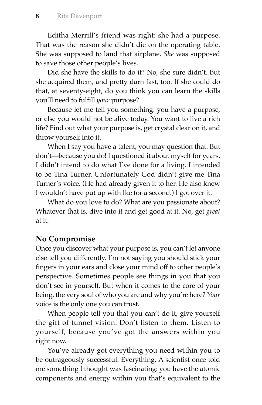Editha Merrill's friend was right: she had a purpose. That was the reason she didn't die on the operating table. She was supposed to land that airplane. *She* was supposed to save those other people's lives.

Did she have the skills to do it? No, she sure didn't. But she acquired them, and pretty darn fast, too. If she could do that, at seventy-eight, do you think you can learn the skills you'll need to fulfill *your* purpose?

Because let me tell you something: you have a purpose, or else you would not be alive today. You want to live a rich life? Find out what your purpose is, get crystal clear on it, and throw yourself into it.

When I say you have a talent, you may question that. But don't—because you do! I questioned it about myself for years. I didn't intend to do what I've done for a living. I intended to be Tina Turner. Unfortunately God didn't give me Tina Turner's voice. (He had already given it to her. He also knew I wouldn't have put up with Ike for a second.) I got over it.

What do you love to do? What are you passionate about? Whatever that is, dive into it and get good at it. No, get *great*  at it.

#### **No Compromise**

Once you discover what your purpose is, you can't let anyone else tell you differently. I'm not saying you should stick your fingers in your ears and close your mind off to other people's perspective. Sometimes people see things in you that you don't see in yourself. But when it comes to the core of your being, the very soul of who you are and why you're here? *Your* voice is the only one you can trust.

When people tell you that you can't do it, give yourself the gift of tunnel vision. Don't listen to them. Listen to yourself, because you've got the answers within you right now.

You've already got everything you need within you to be outrageously successful. Everything. A scientist once told me something I thought was fascinating: you have the atomic components and energy within you that's equivalent to the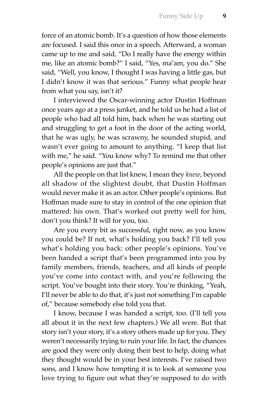force of an atomic bomb. It's a question of how those elements are focused. I said this once in a speech. Afterward, a woman came up to me and said, "Do I really have the energy within me, like an atomic bomb?" I said, "Yes, ma'am, you do." She said, "Well, you know, I thought I was having a little gas, but I didn't know it was that serious." Funny what people hear from what you say, isn't it?

I interviewed the Oscar-winning actor Dustin Hoffman once years ago at a press junket, and he told us he had a list of people who had all told him, back when he was starting out and struggling to get a foot in the door of the acting world, that he was ugly, he was scrawny, he sounded stupid, and wasn't ever going to amount to anything. "I keep that list with me," he said. "You know why? To remind me that other people's opinions are just that."

All the people on that list knew, I mean they *knew*, beyond all shadow of the slightest doubt, that Dustin Hoffman would never make it as an actor. Other people's opinions. But Hoffman made sure to stay in control of the one opinion that mattered: his own. That's worked out pretty well for him, don't you think? It will for you, too.

Are you every bit as successful, right now, as you know you could be? If not, what's holding you back? I'll tell you what's holding you back: other people's opinions. You've been handed a script that's been programmed into you by family members, friends, teachers, and all kinds of people you've come into contact with, and you're following the script. You've bought into their story. You're thinking, "Yeah, I'll never be able to do that, it's just not something I'm capable of," because somebody else told you that.

I know, because I was handed a script, too. (I'll tell you all about it in the next few chapters.) We all were. But that story isn't your story, it's a story others made up for you. They weren't necessarily trying to ruin your life. In fact, the chances are good they were only doing their best to help, doing what they thought would be in your best interests. I've raised two sons, and I know how tempting it is to look at someone you love trying to figure out what they're supposed to do with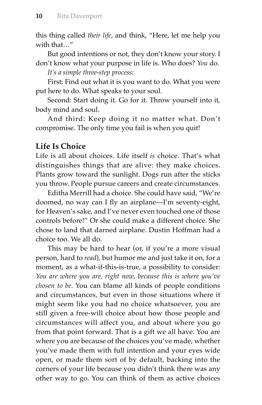this thing called *their life*, and think, "Here, let me help you with that **"** 

But good intentions or not, they don't know your story. I don't know what your purpose in life is. Who does? *You* do.

*It's a simple three-step process:*

First: Find out what it is you want to do. What you were put here to do. What speaks to your soul.

Second: Start doing it. Go for it. Throw yourself into it, body mind and soul.

And third: Keep doing it no matter what. Don't compromise. The only time you fail is when you quit!

#### **Life Is Choice**

Life is all about choices. Life itself *is* choice. That's what distinguishes things that are alive: they make choices. Plants grow toward the sunlight. Dogs run after the sticks you throw. People pursue careers and create circumstances.

Editha Merrill had a choice. She could have said, "We're doomed, no way can I fly an airplane-I'm seventy-eight, for Heaven's sake, and I've never even touched one of those controls before!" Or she could make a different choice. She chose to land that darned airplane. Dustin Hoffman had a choice too. We all do.

This may be hard to hear (or, if you're a more visual person, hard to *read*), but humor me and just take it on, for a moment, as a what-if-this-is-true, a possibility to consider: *You are where you are, right now, because this is where you've chosen to be*. You can blame all kinds of people conditions and circumstances, but even in those situations where it might seem like you had no choice whatsoever, you are still given a free-will choice about how those people and circumstances will affect you, and about where you go from that point forward. That is a gift we all have. You are where you are because of the choices you've made, whether you've made them with full intention and your eyes wide open, or made them sort of by default, backing into the corners of your life because you didn't think there was any other way to go. You can think of them as active choices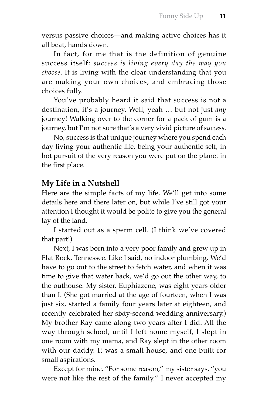versus passive choices—and making active choices has it all beat, hands down.

In fact, for me that is the definition of genuine success itself: *success is living every day the way you choose*. It is living with the clear understanding that you are making your own choices, and embracing those choices fully.

You've probably heard it said that success is not a destination, it's a journey. Well, yeah … but not just *any*  journey! Walking over to the corner for a pack of gum is a journey, but I'm not sure that's a very vivid picture of *success*.

No, success is that unique journey where you spend each day living your authentic life, being your authentic self, in hot pursuit of the very reason you were put on the planet in the first place.

#### **My Life in a Nutshell**

Here are the simple facts of my life. We'll get into some details here and there later on, but while I've still got your attention I thought it would be polite to give you the general lay of the land.

I started out as a sperm cell. (I think we've covered that part!)

Next, I was born into a very poor family and grew up in Flat Rock, Tennessee. Like I said, no indoor plumbing. We'd have to go out to the street to fetch water, and when it was time to give that water back, we'd go out the other way, to the outhouse. My sister, Euphiazene, was eight years older than I. (She got married at the age of fourteen, when I was just six, started a family four years later at eighteen, and recently celebrated her sixty-second wedding anniversary.) My brother Ray came along two years after I did. All the way through school, until I left home myself, I slept in one room with my mama, and Ray slept in the other room with our daddy. It was a small house, and one built for small aspirations.

Except for mine. "For some reason," my sister says, "you were not like the rest of the family." I never accepted my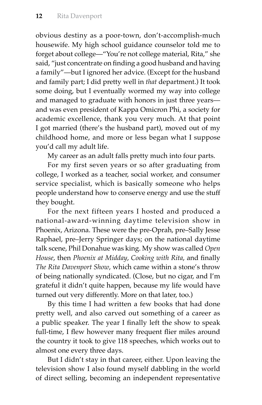obvious destiny as a poor-town, don't-accomplish-much housewife. My high school guidance counselor told me to forget about college—"You're not college material, Rita," she said, "just concentrate on finding a good husband and having a family"—but I ignored her advice. (Except for the husband and family part; I did pretty well in *that* department.) It took some doing, but I eventually wormed my way into college and managed to graduate with honors in just three years and was even president of Kappa Omicron Phi, a society for academic excellence, thank you very much. At that point I got married (there's the husband part), moved out of my childhood home, and more or less began what I suppose you'd call my adult life.

My career as an adult falls pretty much into four parts.

For my first seven years or so after graduating from college, I worked as a teacher, social worker, and consumer service specialist, which is basically someone who helps people understand how to conserve energy and use the stuff they bought.

For the next fifteen years I hosted and produced a national-award-winning daytime television show in Phoenix, Arizona. These were the pre-Oprah, pre–Sally Jesse Raphael, pre–Jerry Springer days; on the national daytime talk scene, Phil Donahue was king. My show was called *Open House*, then *Phoenix at Midday*, *Cooking with Rita*, and finally *The Rita Davenport Show*, which came within a stone's throw of being nationally syndicated. (Close, but no cigar, and I'm grateful it didn't quite happen, because my life would have turned out very differently. More on that later, too.)

By this time I had written a few books that had done pretty well, and also carved out something of a career as a public speaker. The year I finally left the show to speak full-time, I flew however many frequent flier miles around the country it took to give 118 speeches, which works out to almost one every three days.

But I didn't stay in that career, either. Upon leaving the television show I also found myself dabbling in the world of direct selling, becoming an independent representative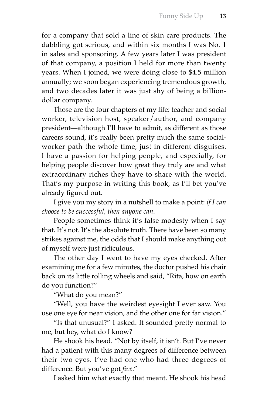for a company that sold a line of skin care products. The dabbling got serious, and within six months I was No. 1 in sales and sponsoring. A few years later I was president of that company, a position I held for more than twenty years. When I joined, we were doing close to \$4.5 million annually; we soon began experiencing tremendous growth, and two decades later it was just shy of being a billiondollar company.

Those are the four chapters of my life: teacher and social worker, television host, speaker/author, and company president—although I'll have to admit, as different as those careers sound, it's really been pretty much the same socialworker path the whole time, just in different disguises. I have a passion for helping people, and especially, for helping people discover how great they truly are and what extraordinary riches they have to share with the world. That's my purpose in writing this book, as I'll bet you've already figured out.

I give you my story in a nutshell to make a point: *if I can choose to be successful, then anyone can*.

People sometimes think it's false modesty when I say that. It's not. It's the absolute truth. There have been so many strikes against me, the odds that I should make anything out of myself were just ridiculous.

The other day I went to have my eyes checked. After examining me for a few minutes, the doctor pushed his chair back on its little rolling wheels and said, "Rita, how on earth do you function?"

"What do you mean?"

"Well, you have the weirdest eyesight I ever saw. You use one eye for near vision, and the other one for far vision."

"Is that unusual?" I asked. It sounded pretty normal to me, but hey, what do I know?

He shook his head. "Not by itself, it isn't. But I've never had a patient with this many degrees of difference between their two eyes. I've had one who had three degrees of difference. But you've got *five."* 

I asked him what exactly that meant. He shook his head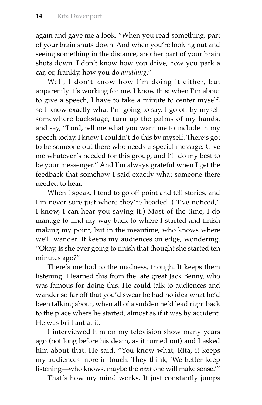again and gave me a look. "When you read something, part of your brain shuts down. And when you're looking out and seeing something in the distance, another part of your brain shuts down. I don't know how you drive, how you park a car, or, frankly, how you do *anything*."

Well, I don't know how I'm doing it either, but apparently it's working for me. I know this: when I'm about to give a speech, I have to take a minute to center myself, so I know exactly what I'm going to say. I go off by myself somewhere backstage, turn up the palms of my hands, and say, "Lord, tell me what you want me to include in my speech today. I know I couldn't do this by myself. There's got to be someone out there who needs a special message. Give me whatever's needed for this group, and I'll do my best to be your messenger." And I'm always grateful when I get the feedback that somehow I said exactly what someone there needed to hear.

When I speak, I tend to go off point and tell stories, and I'm never sure just where they're headed. ("I've noticed," I know, I can hear you saying it.) Most of the time, I do manage to find my way back to where I started and finish making my point, but in the meantime, who knows where we'll wander. It keeps my audiences on edge, wondering, "Okay, is she ever going to finish that thought she started ten minutes ago?"

There's method to the madness, though. It keeps them listening. I learned this from the late great Jack Benny, who was famous for doing this. He could talk to audiences and wander so far off that you'd swear he had no idea what he'd been talking about, when all of a sudden he'd lead right back to the place where he started, almost as if it was by accident. He was brilliant at it.

I interviewed him on my television show many years ago (not long before his death, as it turned out) and I asked him about that. He said, "You know what, Rita, it keeps my audiences more in touch. They think, 'We better keep listening—who knows, maybe the *next* one will make sense.'"

That's how my mind works. It just constantly jumps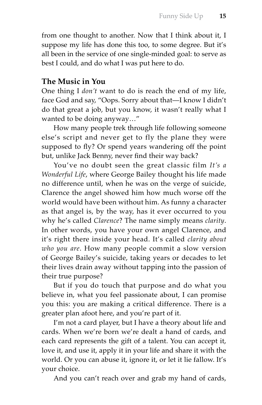from one thought to another. Now that I think about it, I suppose my life has done this too, to some degree. But it's all been in the service of one single-minded goal: to serve as best I could, and do what I was put here to do.

#### **The Music in You**

One thing I *don't* want to do is reach the end of my life, face God and say, "Oops. Sorry about that—I know I didn't do that great a job, but you know, it wasn't really what I wanted to be doing anyway…"

How many people trek through life following someone else's script and never get to fly the plane they were supposed to fly? Or spend years wandering off the point but, unlike Jack Benny, never find their way back?

You've no doubt seen the great classic film *It's a Wonderful Life*, where George Bailey thought his life made no difference until, when he was on the verge of suicide, Clarence the angel showed him how much worse off the world would have been without him. As funny a character as that angel is, by the way, has it ever occurred to you why he's called *Clarence*? The name simply means *clarity*. In other words, you have your own angel Clarence, and it's right there inside your head. It's called *clarity about who you are*. How many people commit a slow version of George Bailey's suicide, taking years or decades to let their lives drain away without tapping into the passion of their true purpose?

But if you do touch that purpose and do what you believe in, what you feel passionate about, I can promise you this: you are making a critical difference. There is a greater plan afoot here, and you're part of it.

I'm not a card player, but I have a theory about life and cards. When we're born we're dealt a hand of cards, and each card represents the gift of a talent. You can accept it, love it, and use it, apply it in your life and share it with the world. Or you can abuse it, ignore it, or let it lie fallow. It's your choice.

And you can't reach over and grab my hand of cards,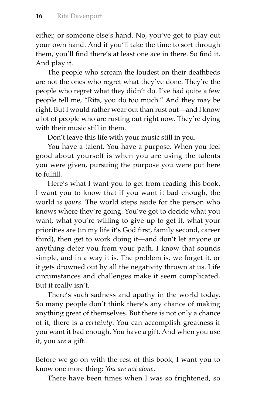either, or someone else's hand. No, you've got to play out your own hand. And if you'll take the time to sort through them, you'll find there's at least one ace in there. So find it. And play it.

The people who scream the loudest on their deathbeds are not the ones who regret what they've done. They're the people who regret what they didn't do. I've had quite a few people tell me, "Rita, you do too much." And they may be right. But I would rather wear out than rust out—and I know a lot of people who are rusting out right now. They're dying with their music still in them.

Don't leave this life with your music still in you.

You have a talent. You have a purpose. When you feel good about yourself is when you are using the talents you were given, pursuing the purpose you were put here to fulfill.

Here's what I want you to get from reading this book. I want you to know that if you want it bad enough, the world is *yours*. The world steps aside for the person who knows where they're going. You've got to decide what you want, what you're willing to give up to get it, what your priorities are (in my life it's God first, family second, career third), then get to work doing it—and don't let anyone or anything deter you from your path. I know that sounds simple, and in a way it is. The problem is, we forget it, or it gets drowned out by all the negativity thrown at us. Life circumstances and challenges make it seem complicated. But it really isn't.

There's such sadness and apathy in the world today. So many people don't think there's any chance of making anything great of themselves. But there is not only a chance of it, there is a *certainty*. You can accomplish greatness if you want it bad enough. You have a gift. And when you use it, you *are* a gift.

Before we go on with the rest of this book, I want you to know one more thing: *You are not alone*.

There have been times when I was so frightened, so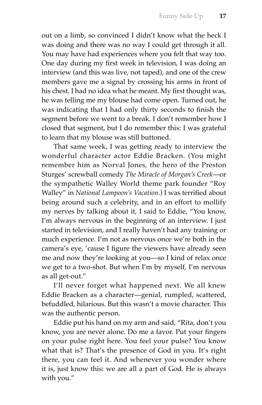out on a limb, so convinced I didn't know what the heck I was doing and there was no way I could get through it all. You may have had experiences where you felt that way too. One day during my first week in television, I was doing an interview (and this was live, not taped), and one of the crew members gave me a signal by crossing his arms in front of his chest. I had no idea what he meant. My first thought was, he was telling me my blouse had come open. Turned out, he was indicating that I had only thirty seconds to finish the segment before we went to a break. I don't remember how I closed that segment, but I do remember this: I was grateful to learn that my blouse was still buttoned.

That same week, I was getting ready to interview the wonderful character actor Eddie Bracken. (You might remember him as Norval Jones, the hero of the Preston Sturges' screwball comedy *The Miracle of Morgan's Creek*—or the sympathetic Walley World theme park founder "Roy Walley" in *National Lampoon's Vacation*.) I was terrified about being around such a celebrity, and in an effort to mollify my nerves by talking about it, I said to Eddie, "You know, I'm always nervous in the beginning of an interview. I just started in television, and I really haven't had any training or much experience. I'm not as nervous once we're both in the camera's eye, 'cause I figure the viewers have already seen me and now they're looking at you—so I kind of relax once we get to a two-shot. But when I'm by myself, I'm nervous as all get-out."

I'll never forget what happened next. We all knew Eddie Bracken as a character—genial, rumpled, scattered, befuddled, hilarious. But this wasn't a movie character. This was the authentic person.

Eddie put his hand on my arm and said, "Rita, don't you know, you are never alone. Do me a favor. Put your fingers on your pulse right here. You feel your pulse? You know what that is? That's the presence of God in you. It's right there, you can feel it. And whenever you wonder where it is, just know this: we are all a part of God. He is always with you."